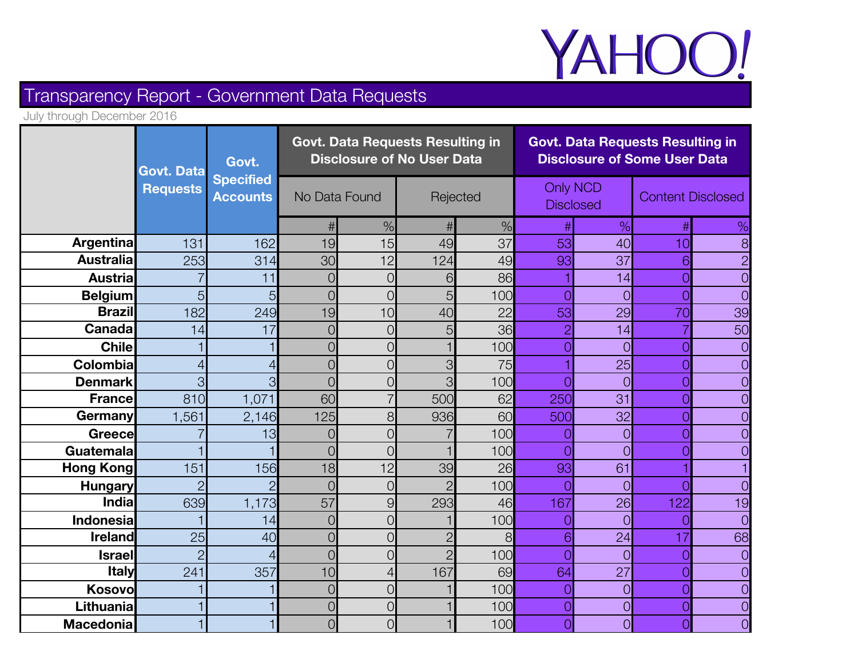

# Transparency Report - Government Data Requests

July through December 2016

|                  | <b>Govt. Data</b> | Govt.           | <b>Govt. Data Requests Resulting in</b><br><b>Disclosure of No User Data</b> |                |            |      | <b>Govt. Data Requests Resulting in</b><br><b>Disclosure of Some User Data</b> |                |                          |    |
|------------------|-------------------|-----------------|------------------------------------------------------------------------------|----------------|------------|------|--------------------------------------------------------------------------------|----------------|--------------------------|----|
|                  | <b>Requests</b>   | <b>Accounts</b> | <b>Specified</b><br>No Data Found                                            |                | Rejected   |      | <b>Only NCD</b><br><b>Disclosed</b>                                            |                | <b>Content Disclosed</b> |    |
|                  |                   |                 |                                                                              | $\%$           |            | $\%$ |                                                                                | %              |                          | %  |
| <b>Argentina</b> | 131               | 162             | 19                                                                           | 15             | 49         | 37   | 53                                                                             | 40             | 10                       | 8  |
| <b>Australia</b> | 253               | 314             | 30                                                                           | 12             | 124        | 49   | 93                                                                             | 37             | 6                        |    |
| <b>Austrial</b>  |                   | 11              | 0                                                                            | $\overline{0}$ | 6          | 86   |                                                                                | 14             | 0                        |    |
| <b>Belgium</b>   | 5                 | 5               | $\overline{O}$                                                               | 0              | 5          | 100  |                                                                                | $\overline{O}$ | $\cap$                   |    |
| <b>Brazil</b>    | 182               | 249             | 19                                                                           | 10             | 40         | 22   | 53                                                                             | 29             | 70                       | 39 |
| Canada           | 14                | 17              | $\overline{O}$                                                               | 0              | 5          | 36   |                                                                                | 14             |                          | 50 |
| <b>Chile</b>     |                   |                 | $\overline{O}$                                                               | 0              |            | 100  |                                                                                | $\overline{O}$ | ∩                        |    |
| Colombia         | $\overline{4}$    |                 | $\overline{O}$                                                               | $\overline{O}$ | 3          | 75   |                                                                                | 25             | 0                        |    |
| <b>Denmark</b>   | 3                 |                 | 0                                                                            | 0              |            | 100  |                                                                                | $\Omega$       |                          |    |
| France           | 810               | 1,071           | 60                                                                           |                | <b>500</b> | 62   | 250                                                                            | 31             | 0                        |    |
| Germany          | 1,561             | 2,146           | 125                                                                          | 8              | 936        | 60   | 500                                                                            | 32             | Ω                        |    |
| <b>Greece</b>    |                   | 13              | O                                                                            | Ω              |            | 100  |                                                                                | $\overline{O}$ | $\cap$                   |    |
| Guatemala        |                   |                 | $\overline{O}$                                                               | $\overline{O}$ |            | 100  |                                                                                | $\overline{O}$ | 0                        |    |
| <b>Hong Kong</b> | 151               | 156             | 18                                                                           | 12             | 39         | 26   | 93                                                                             | 61             |                          |    |
| <b>Hungary</b>   | $\overline{2}$    |                 | $\overline{O}$                                                               | $\overline{O}$ |            | 100  |                                                                                | $\overline{O}$ |                          |    |
| India            | 639               | 1,173           | 57                                                                           | 9              | 293        | 46   | 167                                                                            | 26             | 122                      | 19 |
| <b>Indonesia</b> |                   | 14              | $\overline{O}$                                                               | 0              |            | 100  |                                                                                | $\overline{O}$ |                          |    |
| <b>Ireland</b>   | 25                | 40              | $\overline{O}$                                                               | 0              |            | 8    | 6                                                                              | 24             | 17                       | 68 |
| <b>Israel</b>    | $\overline{P}$    |                 | $\overline{O}$                                                               | 0              |            | 100  |                                                                                | $\overline{O}$ | Ω                        |    |
| <b>Italy</b>     | 241               | 357             | 10                                                                           | 4              | 167        | 69   | 64                                                                             | 27             | 0                        |    |
| Kosovo           |                   |                 | 0                                                                            | 0              |            | 100  | ∩                                                                              | $\overline{O}$ | $\cap$                   |    |
| Lithuania        |                   |                 | $\overline{O}$                                                               | $\overline{O}$ |            | 100  | $\overline{O}$                                                                 | $\overline{O}$ | $\overline{O}$           |    |
| <b>Macedonia</b> |                   |                 | $\overline{O}$                                                               | $\overline{O}$ |            | 100  |                                                                                | $\overline{O}$ |                          |    |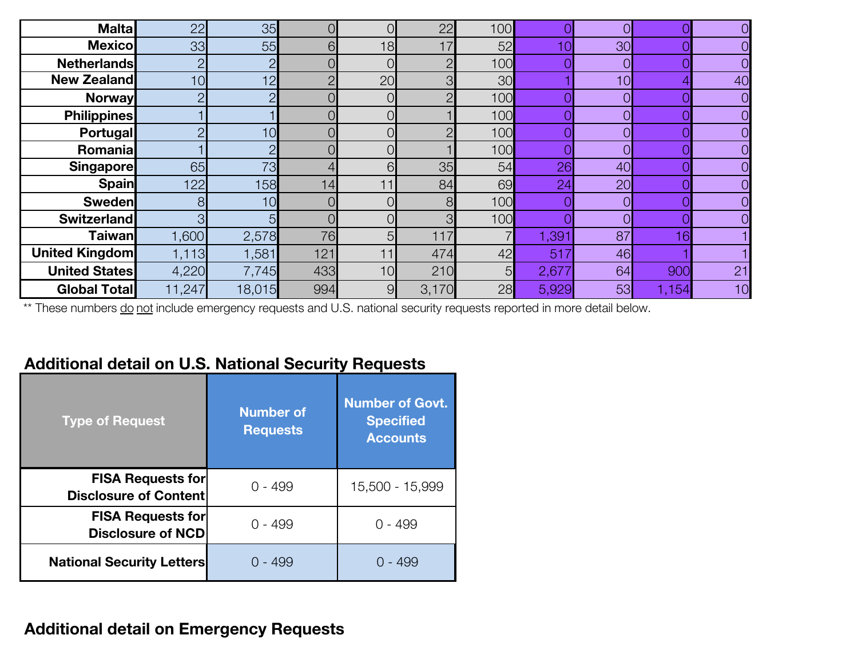| <b>Malta</b>          | 22             | 35     |        |    | 22    | 100 |       |    |       |    |
|-----------------------|----------------|--------|--------|----|-------|-----|-------|----|-------|----|
| <b>Mexicol</b>        | 33             | 55     | 6.     | 18 | 17    | 52  | 10    | 30 |       |    |
| <b>Netherlands</b>    | $\overline{2}$ | ∩      |        |    |       | 100 |       |    |       |    |
| <b>New Zealand</b>    | 10             | 12     | $\cap$ | 20 | ∩     | 30  |       | 10 |       | 40 |
| <b>Norway</b>         | $\overline{2}$ |        |        |    |       | 100 |       |    |       |    |
| <b>Philippines</b>    |                |        |        |    |       | 100 |       |    |       |    |
| <b>Portugal</b>       | റ              | 10     |        |    |       | 100 |       |    |       |    |
| Romanial              |                | $\cap$ |        |    |       | 100 |       |    |       |    |
| <b>Singapore</b>      | 65             | 73     |        | 61 | 35    | 54  | 26    | 40 |       |    |
| <b>Spain</b>          | 122            | 158    | 14     | 11 | 84    | 69  | 24    | 20 |       |    |
| <b>Sweden</b>         | 8              | 10     |        |    | 8     | 100 |       |    |       |    |
| <b>Switzerland</b>    | 3              |        |        |    |       | 100 |       |    |       |    |
| <b>Taiwan</b>         | 1,600          | 2,578  | 76     | 5  | 117   |     | 1,391 | 87 | 16    |    |
| <b>United Kingdom</b> | 1,113          | 1,581  | 121    | 11 | 474   | 42  | 517   | 46 |       |    |
| <b>United States</b>  | 4,220          | 7,745  | 433    | 10 | 210   | 5   | 2,677 | 64 | 900   | 21 |
| <b>Global Total</b>   | 11,247         | 18,015 | 994    | 9  | 3,170 | 28  | 5,929 | 53 | 1,154 | 10 |

\*\* These numbers do not include emergency requests and U.S. national security requests reported in more detail below.

# **Additional detail on U.S. National Security Requests**

| <b>Type of Request</b>                                   | <b>Number of</b><br><b>Requests</b> | <b>Number of Govt.</b><br><b>Specified</b><br><b>Accounts</b> |
|----------------------------------------------------------|-------------------------------------|---------------------------------------------------------------|
| <b>FISA Requests for</b><br><b>Disclosure of Content</b> | 0 - 499                             | 15,500 - 15,999                                               |
| <b>FISA Requests for</b><br><b>Disclosure of NCD</b>     | 0 - 499                             | 0 - 499                                                       |
| <b>National Security Letters</b>                         | ი - 499                             | ი - 499                                                       |

# **Additional detail on Emergency Requests**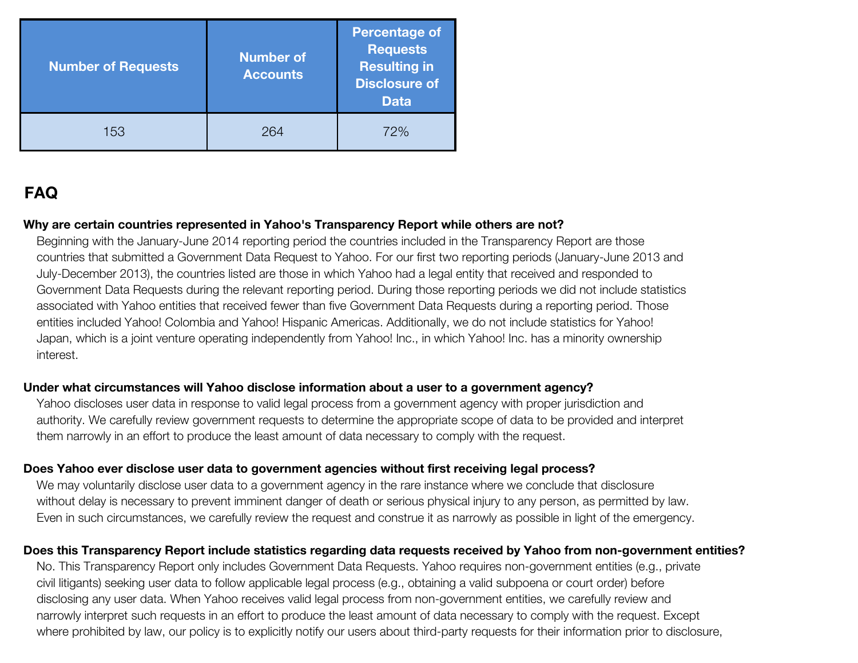| <b>Number of Requests</b> | <b>Number of</b><br><b>Accounts</b> | <b>Percentage of</b><br><b>Requests</b><br><b>Resulting in</b><br><b>Disclosure of</b><br><b>Data</b> |  |  |
|---------------------------|-------------------------------------|-------------------------------------------------------------------------------------------------------|--|--|
| 153                       | גטכי                                | 72%                                                                                                   |  |  |

# **FAQ**

# **Why are certain countries represented in Yahoo's Transparency Report while others are not?**

Beginning with the January-June 2014 reporting period the countries included in the Transparency Report are those countries that submitted a Government Data Request to Yahoo. For our first two reporting periods (January-June 2013 and July-December 2013), the countries listed are those in which Yahoo had a legal entity that received and responded to Government Data Requests during the relevant reporting period. During those reporting periods we did not include statistics associated with Yahoo entities that received fewer than five Government Data Requests during a reporting period. Those entities included Yahoo! Colombia and Yahoo! Hispanic Americas. Additionally, we do not include statistics for Yahoo! Japan, which is a joint venture operating independently from Yahoo! Inc., in which Yahoo! Inc. has a minority ownership interest.

#### **Under what circumstances will Yahoo disclose information about a user to a government agency?**

Yahoo discloses user data in response to valid legal process from a government agency with proper jurisdiction and authority. We carefully review government requests to determine the appropriate scope of data to be provided and interpret them narrowly in an effort to produce the least amount of data necessary to comply with the request.

# **Does Yahoo ever disclose user data to government agencies without first receiving legal process?**

We may voluntarily disclose user data to a government agency in the rare instance where we conclude that disclosure without delay is necessary to prevent imminent danger of death or serious physical injury to any person, as permitted by law. Even in such circumstances, we carefully review the request and construe it as narrowly as possible in light of the emergency.

# **Does this Transparency Report include statistics regarding data requests received by Yahoo from non-government entities?**

No. This Transparency Report only includes Government Data Requests. Yahoo requires non-government entities (e.g., private civil litigants) seeking user data to follow applicable legal process (e.g., obtaining a valid subpoena or court order) before disclosing any user data. When Yahoo receives valid legal process from non-government entities, we carefully review and narrowly interpret such requests in an effort to produce the least amount of data necessary to comply with the request. Except where prohibited by law, our policy is to explicitly notify our users about third-party requests for their information prior to disclosure,